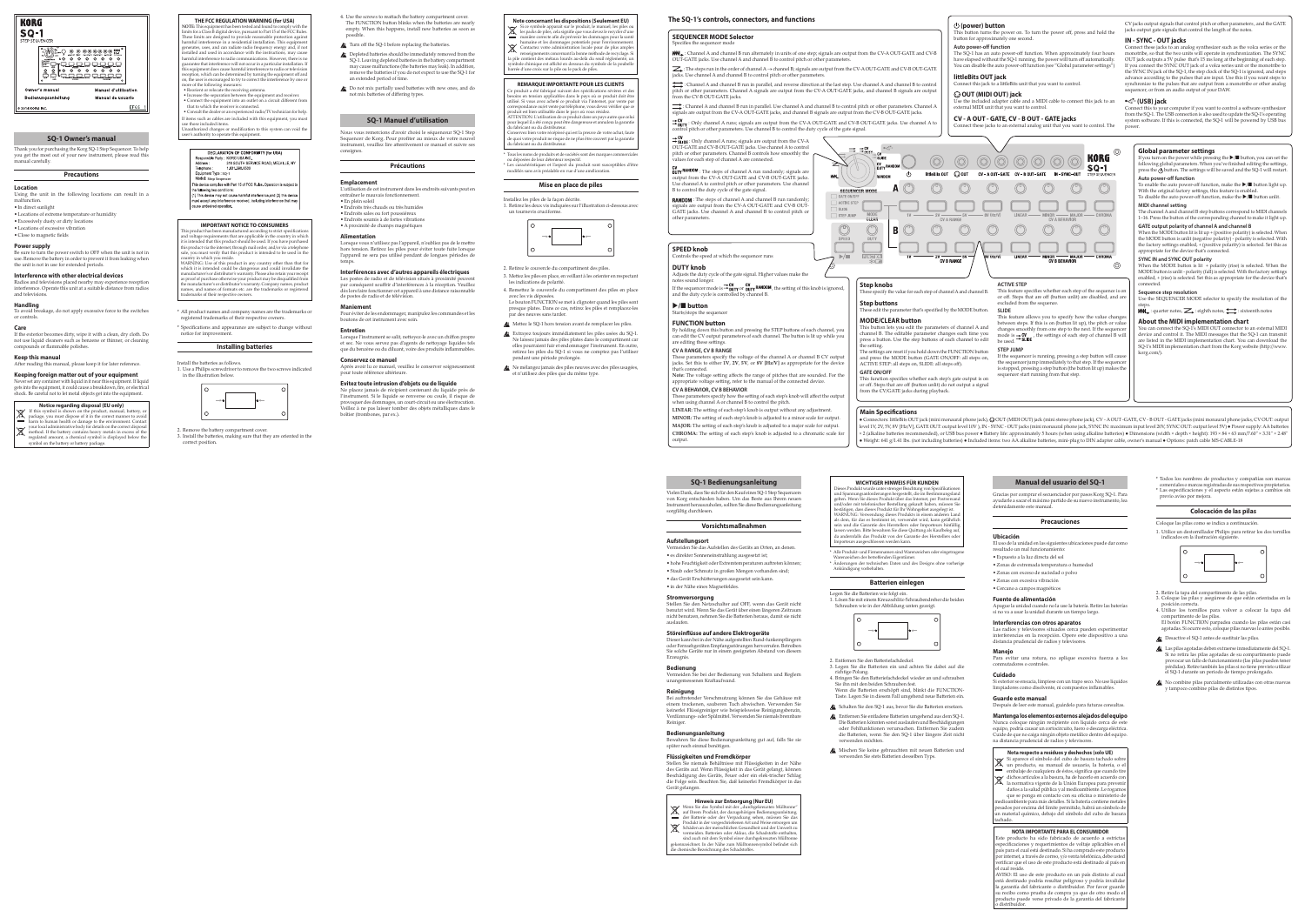# **SQ-1 Bedienungsanleitung**

Vielen Dank, dass Sie sich für den Kauf eines SQ-1 Step Sequenzers von Korg entschieden haben. Um das Beste aus Ihrem neuen Instrument herauszuholen, sollten Sie diese Bedienungsanleitung sorgfältig durchlesen.

## **Vorsichtsmaßnahmen**

## **Aufstellungsort**

atput

- Vermeiden Sie das Aufstellen des Geräts an Orten, an denen.
- •es direkter Sonneneinstrahlung ausgesetzt ist; •hohe Feuchtigkeit oder Extremtemperaturen auftreten können;
- •Staub oder Schmutz in großen Mengen vorhanden sind;
- •das Gerät Erschütterungen ausgesetzt sein kann. •in der Nähe eines Magnetfeldes.

# **Stromversorgung**

Stellen Sie den Netzschalter auf OFF, wenn das Gerät nicht benutzt wird. Wenn Sie das Gerät über einen längeren Zeitraum nicht benutzen, nehmen Sie die Batterien heraus, damit sie nicht auslaufen.

# **Störeinflüsse auf andere Elektrogeräte**

Dieser kann bei in der Nähe aufgestellten Rund-funkempfängern oder Fernsehgeräten Empfangsstörungen hervorrufen. Betreiben Sie solche Geräte nur in einem geeigneten Abstand von diesem Erzeugnis.

# **Bedienung**

Vermeiden Sie bei der Bedienung von Schaltern und Reglern unangemessenen Kraftaufwand.

# **Reinigung**

Bei auftretender Verschmutzung können Sie das Gehäuse mit einem trockenen, sauberen Tuch abwischen. Verwenden Sie keinerlei Flüssigreiniger wie beispielsweise Reinigungsbenzin, Verdünnungs- oder Spülmittel. Verwenden Sie niemals brennbare Reiniger.

# **Bedienungsanleitung**

Bewahren Sie diese Bedienungsanleitung gut auf, falls Sie sie später noch einmal benötigen.

**Flüssigkeiten und Fremdkörper** Stellen Sie niemals Behältnisse mit Flüssigkeiten in der Nähe des Geräts auf. Wenn Flüssigkeit in das Gerät gelangt, können Beschädigung des Geräts, Feuer oder ein elek-trischer Schlag die Folge sein. Beachten Sie, daß keinerlei Fremdkörper in das Gerät gelangen.

# **Hinweis zur Entsorgung (Nur EU)**





# **SQ-1 Owner's manual**

Thank you for purchasing the Korg SQ-1 Step Sequencer. To help you get the most out of your new instrument, please read this manual carefully.

#### **Precautions**

**Location**

- Using the unit in the following locations can result in a malfunction.
- •In direct sunlight
- •Locations of extreme temperature or humidity
- •Excessively dusty or dirty locations •Locations of excessive vibration
- •Close to magnetic fields

# **Power supply**

Si aparece el símbolo del cubo de basura tachado sobre un producto, su manual de usuario, la batería, o el embalaje de cualquiera de éstos, significa que cuando tire

Be sure to turn the power switch to OFF when the unit is not in use. Remove the battery in order to prevent it from leaking when the unit is not in use for extended periods.

# **Interference with other electrical devices**

que se ponga en contacto con su oficina o ministerio de edioambiente para más detalles. Si la batería contiene metales pesados por encima del límite permitido, habrá un símbolo de un material químico, debajo del símbolo del cubo de basura chado.

Radios and televisions placed nearby may experience reception interference. Operate this unit at a suitable distance from radios and televisions.

# **Handling**

To avoid breakage, do not apply excessive force to the switches or controls.

## **Care**

If the exterior becomes dirty, wipe it with a clean, dry cloth. Do not use liquid cleaners such as benzene or thinner, or cleaning compounds or flammable polishes.

# **Keep this manual**

After reading this manual, please keep it for later reference.

**Keeping foreign matter out of your equipment** Never set any container with liquid in it near this equipment. If liquid gets into the equipment, it could cause a breakdown, fire, or electrical shock. Be careful not to let metal objects get into the equipment.

# **Notice regarding disposal (EU only)**

**NOTE:** This equipment has been tested and found to comply with the limits for a Class  $\mathrm{\bar{B}}$  digital device, pursuant to Part 15 of the FCC Rules These limits are designed to provide reasonable protection agains harmful interference in a residential installation. This equipment generates, uses, and can radiate radio frequency energy and, if not installed and used in accordance with the instructions, may cause harmful interference to radio communications. However, there is no guarantee that interference will not occur in a particular installation. If this equipment does cause harmful interference to radio or television reception, which can be determined by turning the equipment off and on, the user is encouraged to try to correct the interference by one or more of the following measures:

If this symbol is shown on the product, manual, battery, or package, you must dispose of it in the correct manner to avoid harm to human health or damage to the environment. Contact your local administrative body for details on the correct disposal your local aunumusuance body for demand and in excess of the method. If the battery contains heavy metals in excess of the regulated amount, a chemical symbol is displayed below the

symbol on the battery or battery package.

# **Manual del usuario del SQ-1**

Gracias por comprar el secuenciador por pasos Korg SQ-1. Para ayudarle a sacar el máximo partido de su nuevo instrumento, lea detenidamente este manual.

uct has been manufactured according to strict specifications and voltage requirements that are applicable in the country in which it is intended that this product should be used. If you have purchased this product via the internet, through mail order, and/or via a telephone sale, you must verify that this product is intended to be used in the country in which you reside.

# **Precauciones**

## **Ubicación**

- El uso de la unidad en las siguientes ubicaciones puede dar como resultado un mal funcionamiento
- •Expuesto a la luz directa del sol
- •Zonas de extremada temperatura o humedad
- •Zonas con exceso de suciedad o polvo
- •Zonas con excesiva vibración
- •Cercano a campos magnéticos

# **Fuente de alimentación**

Apague la unidad cuando no la use la batería. Retire las baterías si no va a usar la unidad durante un tiempo largo.

# **Interferencias con otros aparatos**

Las radios y televisores situados cerca pueden experimentar interferencias en la recepción. Opere este dispositivo a una distancia prudencial de radios y televisores.

# **Manejo**

Para evitar una rotura, no aplique excesiva fuerza a los conmutadores o controles.

# **Cuidado**

Si exterior se ensucia, límpiese con un trapo seco. No use líquidos limpiadores como disolvente, ni compuestos inflamables.

#### **Guarde este manual** Después de leer este manual, guárdelo para futuras consultas.

**Mantenga los elementos externos alejados del equipo** Nunca coloque ningún recipiente con líquido cerca de este equipo, podría causar un cortocircuito, fuero o descarga eléctrica. Cuide de que no caiga ningún objeto metálico dentro del equipo. na distancia prudencial de radios y televisores.

# **Nota respecto a residuos y deshechos (solo UE)**

und/oder mit telefonischer Bestellung gekauft haben, müssen Si bestätigen, dass dieses Produkt für Ihr Wohngebiet ausgelegt ist. WARNUNG: Verwendung dieses Produkts in einem anderen Land als dem, für das es bestimmt ist, verwendet wird, kann gefährlich sein und die Garantie des Herstellers oder Importeurs hinfällig assen werden. Bitte bewahren Sie diese Quittung als Kaufbeleg auf da andernfalls das Produkt von der Garantie des Herstellers oder Importeurs ausgeschlossen werden kann. \* Alle Produkt- und Firmennamen sind Warenzeichen oder eingetragene Warenzeichen der betreffenden Eigentümer.

> dichos artículos a la basura, ha de hacerlo en acuerdo con la normativa vigente de la Unión Europea para prevenir daños a la salud pública y al medioambiente. Le rogamos

# **NOTA IMPORTANTE PARA EL CONSUMIDOR**

Este producto ha sido fabricado de acuerdo a estrictas especificaciones y requerimientos de voltaje aplicables en el país para el cual está destinado. Si ha comprado este producto por internet, a través de correo, y/o venta telefónica, debe usted verificar que el uso de este producto está destinado al país en el cual reside.

AVISO: El uso de este producto en un país distinto al cual está destinado podría resultar peligroso y podría invalidar la garantía del fabricante o distribuidor. Por favor guarde su recibo como prueba de compra ya que de otro modo el producto puede verse privado de la garantía del fabricante o distribuidor.

# **THE FCC REGULATION WARNING (for USA)**

- Reorient or relocate the receiving antenna. • Increase the separation between the equipment and receiver. • Connect the equipment into an outlet on a circuit different from
- that to which the receiver is connected. • Consult the dealer or an experienced radio/TV technician for help. If items such as cables are included with this equipment, you must

use those included items. Unauthorized changes or modification to this system can void the user's authority to operate this equipment.

# DECLARATION OF CONFORMITY (for USA)

esponsible Party: KORG USA INC 316 SOUTH SERVICE ROAD, MELVILLE, NY Address: Telephone: 1-631-390-6500

- Equipment Type: SO-1 Model: Step Segencer
- This device complies with Part 15 of FCC Rules. Operation is subject to the following two condition

) This device may not cause harmful interference, and (2) this devic nust accept any interference received, including interference that may cause undesired operation.

# **IMPORTANT NOTICE TO CONSUMERS**

Installez les piles de la façon décrite. 1. Retirez les deux vis indiquées sur l'illustration ci-dessous avec un tournevis cruciforme.



WARNING: Use of this product in any country other than that for which it is intended could be dangerous and could invalidate the manufacturer's or distributor's warranty. Please also retain your receipt as proof of purchase otherwise your product may be disqualified from the manufacturer's or distributor's warranty. Company names, product names, and names of formats etc. are the trademarks or registered trademarks of their respective owners.

- \* All product names and company names are the trademarks or registered trademarks of their respective owners.
- \* Specifications and appearance are subject to change without notice for improvement.

# **Installing batteries**

Install the batteries as follows. 1. Use a Philips screwdriver to remove the two screws indicated in the illustration below.



<sup>2.</sup> Remove the battery compartment cover.

3. Install the batteries, making sure that they are oriented in the correct position.

> \* Todos los nombres de productos y compañías son marcas comerciales o marcas registradas de sus respectivos propietarios. \* Las especificaciones y el aspecto están sujetas a cambios sin previo aviso por mejora.

> > **Colocación de las pilas**

Coloque las pilas como se indica a continuación. 1. Utilice un destornillador Philips para retirar los dos tornillos indicados en la ilustración siguiente.



**MINOR:** The setting of each step's knob is adjusted to a minor scale for output. **MAJOR:** The setting of each step's knob is adjusted to a major scale for output. CHROMA: The setting of each step's knob is adjusted to a chromatic scale for

- 2. Retire la tapa del compartimento de las pilas.
- 3. Coloque las pilas y asegúrese de que están orientadas en la posición correcta. 4. Utilice los tornillos para volver a colocar la tapa del
- compartimento de las pilas. El botón FUNCTION parpadea cuando las pilas están casi agotadas. Si ocurre esto, coloque pilas nuevas lo antes posible. Desactive el SQ-1 antes de sustituir las pilas.
- Las pilas agotadas deben extraerse inmediatamente del SQ-1. Si no retira las pilas agotadas de su compartimento puede provocar un fallo de funcionamiento (las pilas pueden tener pérdidas). Retire también las pilas si no tiene previsto utilizar el SQ-1 durante un periodo de tiempo prolongado.
- No combine pilas parcialmente utilizadas con otras nuevas y tampoco combine pilas de distintos tipos.

If you turn on the power while pressing the  $\blacktriangleright/\blacksquare$  button, you can set the following global parameters. When you've finished editing the settings, press the button. The settings will be saved and the SQ-1 will restart. **Auto power-off function**

To enable the auto power-off function, make the  $\blacktriangleright/\blacksquare$  button light up. With the original factory settings, this feature is enabled. To disable the auto power-off function, make the  $\blacktriangleright/\blacksquare$  button unlit.

The channel A and channel B step buttons correspond to MIDI channels 1–16. Press the button of the corresponding channel to make it light up.

**WICHTIGER HINWEIS FÜR KUNDEN**  Dieses Produkt wurde unter strenger Beachtung von Spezifikation und Spannungsanforderungen hergestellt, die im Bestimmungslan gelten. Wenn Sie dieses Produkt über das Internet, per Postversand

When the MODE button is lit + polarity (rise) is selected. When the MODE button is unlit - polarity (fall) is selected. With the factory settings enabled, + (rise) is selected. Set this as appropriate for the device that's connected.

You can connect the SQ-1's MIDI OUT connector to an external MIDI device and control it. The MIDI messages that the SQ-1 can transmit are listed in the MIDI implementation chart. You can download the SQ-1's MIDI implementation chart from the Korg website (http://www. korg.com/).

\* Änderungen der technischen Daten und des Designs ohne vorherige Ankündigung vorbehalten.

## **Batterien einlegen**

Legen Sie die Batterien wie folgt ein. 1. Lösen Sie mit einem Kreuzschlitz-Schraubendreher die beiden Schrauben wie in der Abbildung unten gezeigt.



- 2. Entfernen Sie den Batteriefachdeckel.
- 3. Legen Sie die Batterien ein und achten Sie dabei auf die richtige Polung. 4. Bringen Sie den Batteriefachdeckel wieder an und schrauben
- Sie ihn mit den beiden Schrauben fest. Wenn die Batterien erschöpft sind, blinkt die FUNCTION-Taste. Legen Sie in diesem Fall umgehend neue Batterien ein.
- Schalten Sie den SQ-1 aus, bevor Sie die Batterien ersetzen.
- Entfernen Sie entladene Batterien umgehend aus dem SQ-1. Die Batterien könnten sonst auslaufen und Beschädigungen oder Fehlfunktionen verursachen. Entfernen Sie zudem die Batterien, wenn Sie den SQ-1 über längere Zeit nicht verwenden möchten.
- Mischen Sie keine gebrauchten mit neuen Batterien und verwenden Sie stets Batterien desselben Typs.
- 4. Use the screws to reattach the battery compartment cover. The FUNCTION button blinks when the batteries are nearly empty. When this happens, install new batteries as soon as possible.
- Turn off the SQ-1 before replacing the batteries.
- **2** Depleted batteries should be immediately removed from the SQ-1. Leaving depleted batteries in the battery compartment may cause malfunctions (the batteries may leak). In addition, remove the batteries if you do not expect to use the SQ-1 for an extended period of time.
- Do not mix partially used batteries with new ones, and do not mix batteries of differing types.

# **SQ-1 Manuel d'utilisation**

Nous vous remercions d'avoir choisi le séquenceur SQ-1 Step Sequencer de Korg. Pour profiter au mieux de votre nouvel instrument, veuillez lire attentivement ce manuel et suivre ses consignes.

# **Précautions**

# **Emplacement**

L'utilisation de cet instrument dans les endroits suivants peut en entraîner le mauvais fonctionnement.

- •En plein soleil •Endroits très chauds ou très humides
- •Endroits sales ou fort poussiéreux
- •Endroits soumis à de fortes vibrations •A proximité de champs magnétiques
- 

# **Alimentation**

Lorsque vous n'utilisez pas l'appareil, n'oubliez pas de le mettre hors tension. Retirez les piles pour éviter toute fuite lorsque l'appareil ne sera pas utilisé pendant de longues périodes de temps.

# **Interférences avec d'autres appareils électriques**

Les postes de radio et de télévision situés à proximité peuvent par conséquent souffrir d'interférences à la réception. Veuillez dès lors faire fonctionner cet appareil à une distance raisonnable de postes de radio et de télévision.

# **Maniement**

Pour éviter de les endommager, manipulez les commandes et les boutons de cet instrument avec soin.

#### **Entretien** Lorsque l'instrument se salit, nettoyez-le avec un chiffon propre

et sec. Ne vous servez pas d'agents de nettoyage liquides tels que du benzène ou du diluant, voire des produits inflammables.

# **Conservez ce manuel**

Après avoir lu ce manuel, veuillez le conserver soigneusement pour toute référence ultérieure.

# **Evitez toute intrusion d'objets ou de liquide**

Ne placez jamais de récipient contenant du liquide près de l'instrument. Si le liquide se renverse ou coule, il risque de provoquer des dommages, un court-circuit ou une électrocution. Veillez à ne pas laisser tomber des objets métalliques dans le boîtier (trombones, par ex.).



# **REMARQUE IMPORTANTE POUR LES CLIENTS**

soins en tension applicables dans le pays où ce produit doit êtr utilisé. Si vous avez acheté ce produit via l'internet, par vente p orrespondance ou/et vente par téléphone, vous devez vérifier que q produit est bien utilisable dans le pays où vous résidez. ATTENTION: L'utilisation de ce produit dans un pays autre que celu our lequel il a été conçu peut être dangereuse et annulera la garanti du fabricant ou du distributeur. Conservez bien votre récépissé qui est la preuve de votre achat, faute de quoi votre produit ne risque de ne plus être couvert par la garanti u fabricant ou du distributeur.

\* Tous les noms de produits et de sociétés sont des marques commerciales ou déposées de leur détenteur respectif.

\* Les caractéristiques et l'aspect du produit sont susceptibles d'être modifiés sans avis préalable en vue d'une amélioration.

# **Mise en place de piles**

- 2. Retirez le couvercle du compartiment des piles.
- les indications de polarité. 4. Remettez le couvercle du compartiment des piles en place avec les vis déposées.
- par des neuves sans tarder.
- pendant une période prolongée.
- Ne mélangez jamais des piles neuves avec des piles usagées,

# **Main Specifications**

● Connectors: littleBits OUT jack (mini monaural phone jack), OUT (MIDI OUT) jack (mini stereo phone jack), CV - A OUT -GATE, CV - B OUT - GATE jacks (mini monaural phone jacks, CV OUT: output level 1V, 2V, 5V, 8V [Hz/V], GATE OUT: output level 10V ), IN - SYNC - OUT jacks (mini monaural phone jack, SYNC IN: maximum input level 20V, SYNC OUT: output level 5V) ● Power supply: AA batteries × 2 (alkaline batteries recommended), or USB bus power ● Battery life: approximately 5 hours (when using alkaline batteries) ● Dimensions (width × depth × height): 193 × 84 × 63 mm/7.60" × 3.31" × 2.48" ● Weight: 641 g/1.41 lbs. (not including batteries) ● Included items: two AA alkaline batteries, mini-plug to DIN adapter cable, owner's manual ● Options: patch cable MS-CABLE-18

# **Global parameter settings**



# **MIDI channel setting**

**GATE output polarity of channel A and channel B** When the MODE button lit is lit up + (positive polarity) is selected. When the MODE button is unlit (negative polarity) - polarity is selected. With the factory settings enabled,  $+$  (positive polarity) is selected. Set this as appropriate for the device that's connected.

**SYNC IN and SYNC OUT polarity**

**Sequence step resolution**

Use the SEQUENCER MODE selector to specify the resolution of the steps.

 $WW_{\rightarrow}$ : quarter notes,  $\sum$ : eighth notes,  $\sum$ : sixteenth notes

# **About the MIDI implementation chart**

CV jacks output signals that control pitch or other parameters , and the GATE jacks output gate signals that control the length of the notes.

# **IN - SYNC - OUT jacks**

Connect these jacks to an analog synthesizer such as the volca series or the monotribe, so that the two units will operate in synchronization. The SYNC OUT jack outputs a 5V pulse that's 15 ms long at the beginning of each step. If you connect the SYNC OUT jack of a volca series unit or the monotribe to the SYNC IN jack of the SQ-1, the step clock of the SQ-1 is ignored, and steps advance according to the pulses that are input. Use this if you want steps to synchronize to the pulses that are output from a monotribe or other analog sequencer, or from an audio output of your DAW.

# **(USB) jack**

Connect this to your computer if you want to control a software synthesizer from the SQ-1. The USB connection is also used to update the SQ-1's operating system software. If this is connected, the SQ-1 will be powered by USB bus